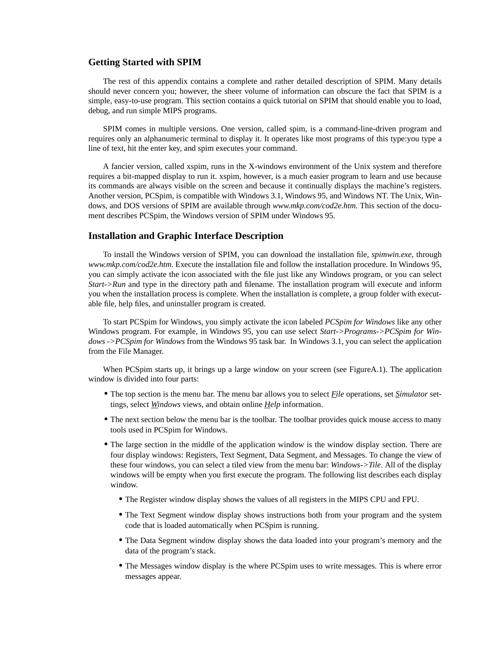# **Getting Started with SPIM**

The rest of this appendix contains a complete and rather detailed description of SPIM. Many details should never concern you; however, the sheer volume of information can obscure the fact that SPIM is a simple, easy-to-use program. This section contains a quick tutorial on SPIM that should enable you to load, debug, and run simple MIPS programs.

SPIM comes in multiple versions. One version, called spim, is a command-line-driven program and requires only an alphanumeric terminal to display it. It operates like most programs of this type:you type a line of text, hit the enter key, and spim executes your command.

A fancier version, called xspim, runs in the X-windows environment of the Unix system and therefore requires a bit-mapped display to run it. xspim, however, is a much easier program to learn and use because its commands are always visible on the screen and because it continually displays the machine's registers. Another version, PCSpim, is compatible with Windows 3.1, Windows 95, and Windows NT. The Unix, Windows, and DOS versions of SPIM are available through *www.mkp.com/cod2e.htm*. This section of the document describes PCSpim, the Windows version of SPIM under Windows 95.

### **Installation and Graphic Interface Description**

To install the Windows version of SPIM, you can download the installation file, *spimwin.exe*, through *www.mkp.com/cod2e.htm*. Execute the installation file and follow the installation procedure. In Windows 95, you can simply activate the icon associated with the file just like any Windows program, or you can select *Start->Run* and type in the directory path and filename. The installation program will execute and inform you when the installation process is complete. When the installation is complete, a group folder with executable file, help files, and uninstaller program is created.

To start PCSpim for Windows, you simply activate the icon labeled *PCSpim for Windows* like any other Windows program. For example, in Windows 95, you can use select *Start->Programs->PCSpim for Windows ->PCSpim for Windows* from the Windows 95 task bar. In Windows 3.1, you can select the application from the File Manager.

When PCSpim starts up, it brings up a large window on your screen (see FigureA.1). The application window is divided into four parts:

- **•** The top section is the menu bar. The menu bar allows you to select *File* operations, set *Simulator* settings, select *Windows* views, and obtain online *Help* information.
- The next section below the menu bar is the toolbar. The toolbar provides quick mouse access to many tools used in PCSpim for Windows.
- The large section in the middle of the application window is the window display section. There are four display windows: Registers, Text Segment, Data Segment, and Messages. To change the view of these four windows, you can select a tiled view from the menu bar: *Windows->Tile*. All of the display windows will be empty when you first execute the program. The following list describes each display window.
	- **•** The Register window display shows the values of all registers in the MIPS CPU and FPU.
	- **•** The Text Segment window display shows instructions both from your program and the system code that is loaded automatically when PCSpim is running.
	- The Data Segment window display shows the data loaded into your program's memory and the data of the program's stack.
	- **•** The Messages window display is the where PCSpim uses to write messages. This is where error messages appear.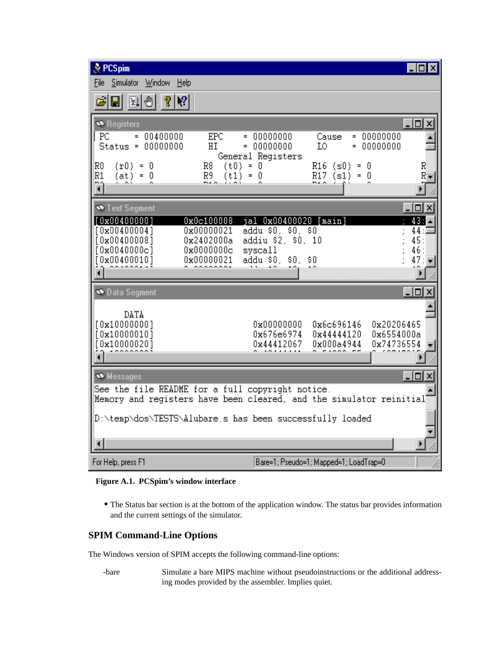| t≹ PCSpim<br>- 101                                                                                                                                                                                                                                                                                        |  |  |  |
|-----------------------------------------------------------------------------------------------------------------------------------------------------------------------------------------------------------------------------------------------------------------------------------------------------------|--|--|--|
| Simulator Window<br>File<br>Help                                                                                                                                                                                                                                                                          |  |  |  |
| $\vert \mathbf{u} \vert$<br>?<br> 2 <br>ID I<br>闩                                                                                                                                                                                                                                                         |  |  |  |
| $ \Box$ $\times$<br><b>Registers</b><br>PC<br><b>EPC</b><br>00400000<br>00000000<br>00000000<br>$=$<br>Cause<br>$=$<br>$=$                                                                                                                                                                                |  |  |  |
| $= 000000000$<br>$= 000000000$<br>$Status = 00000000$<br>HI<br>LO.<br>General Registers                                                                                                                                                                                                                   |  |  |  |
| R0<br>$(r0) = 0$<br>R8<br>(t0)<br>$= 0$<br>$R16$ (s0)<br>R<br>$\equiv$<br>- 0<br>R1<br>R9<br>$R17$ (s1)<br>$= 0$<br>(t1)<br>n<br>0<br>R<br>(at)<br>$\equiv$<br>$\equiv$<br>নি<br>r                                                                                                                        |  |  |  |
| - 미×<br><b>Starff</b> Text Segment                                                                                                                                                                                                                                                                        |  |  |  |
| [0x00400000]<br>jal 0x00400020 [main]<br>43:<br>0x0c100008<br>addu \$0, \$0, \$0<br>[0x004000004]<br>0x00000021<br>44:<br>45:<br>[0x00400008]<br>0x2402000a<br>addiu \$2, \$0, 10<br>[0x0040000c]<br>0x0000000c<br>syscall<br>46:<br>[0x00400010]<br>addu \$0, \$0,<br>0x00000021<br>\$0<br>47<br>۰.<br>Þ |  |  |  |
| -  □  ×<br><b>Data Segment</b>                                                                                                                                                                                                                                                                            |  |  |  |
| DATA<br>[0x10000000]<br>0x00000000<br>0x6c696146<br>0x20206465<br>0x6554000a<br>[0x10000010]<br>0x676e6974<br>0x44444120<br>[0x10000020]<br>0x74736554<br>0x44412067<br>0x000a4944                                                                                                                        |  |  |  |
| $ \Box$ $\times$<br>Messages                                                                                                                                                                                                                                                                              |  |  |  |
| See the file README for a full copyright notice.<br>Memory and registers have been cleared, and the simulator reinitial                                                                                                                                                                                   |  |  |  |
| D:\temp\dos\TESTS\Alubare.s has been successfully loaded                                                                                                                                                                                                                                                  |  |  |  |
|                                                                                                                                                                                                                                                                                                           |  |  |  |
| For Help, press F1<br>Bare=1; Pseudo=1; Mapped=1; LoadTrap=0                                                                                                                                                                                                                                              |  |  |  |

# **Figure A.1. PCSpim's window interface**

**•** The Status bar section is at the bottom of the application window. The status bar provides information and the current settings of the simulator.

# **SPIM Command-Line Options**

The Windows version of SPIM accepts the following command-line options:

-bare Simulate a bare MIPS machine without pseudoinstructions or the additional addressing modes provided by the assembler. Implies quiet.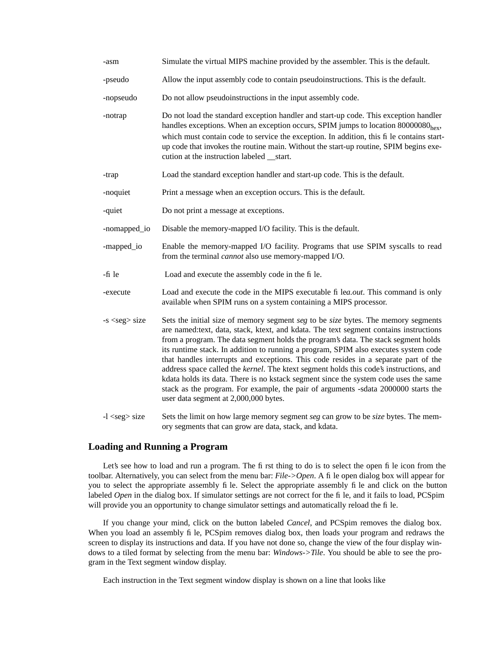| -asm                | Simulate the virtual MIPS machine provided by the assembler. This is the default.                                                                                                                                                                                                                                                                                                                                                                                                                                                                                                                                                                                                                                                                                |  |
|---------------------|------------------------------------------------------------------------------------------------------------------------------------------------------------------------------------------------------------------------------------------------------------------------------------------------------------------------------------------------------------------------------------------------------------------------------------------------------------------------------------------------------------------------------------------------------------------------------------------------------------------------------------------------------------------------------------------------------------------------------------------------------------------|--|
| -pseudo             | Allow the input assembly code to contain pseudoinstructions. This is the default.                                                                                                                                                                                                                                                                                                                                                                                                                                                                                                                                                                                                                                                                                |  |
| -nopseudo           | Do not allow pseudoinstructions in the input assembly code.                                                                                                                                                                                                                                                                                                                                                                                                                                                                                                                                                                                                                                                                                                      |  |
| -notrap             | Do not load the standard exception handler and start-up code. This exception handler<br>handles exceptions. When an exception occurs, SPIM jumps to location 80000080 <sub>hex</sub> ,<br>which must contain code to service the exception. In addition, this fi le contains start-<br>up code that invokes the routine main. Without the start-up routine, SPIM begins exe-<br>cution at the instruction labeled __start.                                                                                                                                                                                                                                                                                                                                       |  |
| -trap               | Load the standard exception handler and start-up code. This is the default.                                                                                                                                                                                                                                                                                                                                                                                                                                                                                                                                                                                                                                                                                      |  |
| -noquiet            | Print a message when an exception occurs. This is the default.                                                                                                                                                                                                                                                                                                                                                                                                                                                                                                                                                                                                                                                                                                   |  |
| -quiet              | Do not print a message at exceptions.                                                                                                                                                                                                                                                                                                                                                                                                                                                                                                                                                                                                                                                                                                                            |  |
| -nomapped_io        | Disable the memory-mapped I/O facility. This is the default.                                                                                                                                                                                                                                                                                                                                                                                                                                                                                                                                                                                                                                                                                                     |  |
| -mapped_io          | Enable the memory-mapped I/O facility. Programs that use SPIM syscalls to read<br>from the terminal <i>cannot</i> also use memory-mapped I/O.                                                                                                                                                                                                                                                                                                                                                                                                                                                                                                                                                                                                                    |  |
| -fi le              | Load and execute the assembly code in the fi le.                                                                                                                                                                                                                                                                                                                                                                                                                                                                                                                                                                                                                                                                                                                 |  |
| -execute            | Load and execute the code in the MIPS executable fi lea.out. This command is only<br>available when SPIM runs on a system containing a MIPS processor.                                                                                                                                                                                                                                                                                                                                                                                                                                                                                                                                                                                                           |  |
| -s <seg> size</seg> | Sets the initial size of memory segment seg to be size bytes. The memory segments<br>are named: text, data, stack, ktext, and kdata. The text segment contains instructions<br>from a program. The data segment holds the program's data. The stack segment holds<br>its runtime stack. In addition to running a program, SPIM also executes system code<br>that handles interrupts and exceptions. This code resides in a separate part of the<br>address space called the kernel. The ktext segment holds this code's instructions, and<br>kdata holds its data. There is no kstack segment since the system code uses the same<br>stack as the program. For example, the pair of arguments -sdata 2000000 starts the<br>user data segment at 2,000,000 bytes. |  |
| $-l <$ seg $>$ size | Sets the limit on how large memory segment seg can grow to be size bytes. The mem-                                                                                                                                                                                                                                                                                                                                                                                                                                                                                                                                                                                                                                                                               |  |

## **Loading and Running a Program**

Let's see how to load and run a program. The first thing to do is to select the open file icon from the toolbar. Alternatively, you can select from the menu bar: *File->Open*. A file open dialog box will appear for you to select the appropriate assembly file. Select the appropriate assembly file and click on the button labeled *Open* in the dialog box. If simulator settings are not correct for the fi le, and it fails to load, PCSpim will provide you an opportunity to change simulator settings and automatically reload the file.

ory segments that can grow are data, stack, and kdata.

If you change your mind, click on the button labeled *Cancel*, and PCSpim removes the dialog box. When you load an assembly file, PCSpim removes dialog box, then loads your program and redraws the screen to display its instructions and data. If you have not done so, change the view of the four display windows to a tiled format by selecting from the menu bar: *Windows->Tile*. You should be able to see the program in the Text segment window display.

Each instruction in the Text segment window display is shown on a line that looks like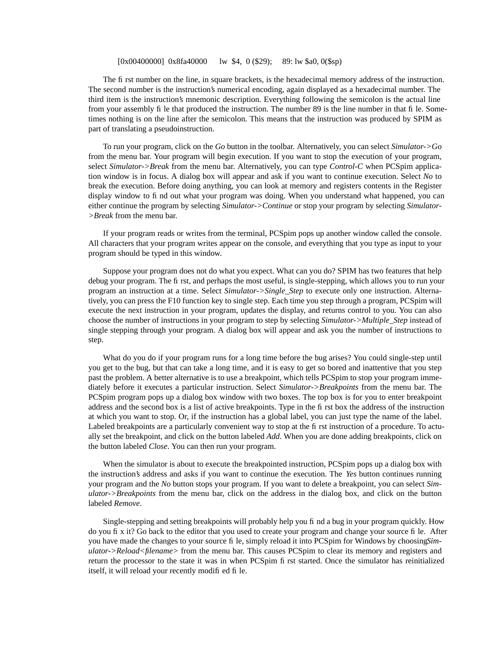#### [0x00400000] 0x8fa40000 lw \$4, 0 (\$29); 89: lw \$a0, 0 (\$sp)

The first number on the line, in square brackets, is the hexadecimal memory address of the instruction. The second number is the instruction's numerical encoding, again displayed as a hexadecimal number. The third item is the instruction's mnemonic description. Everything following the semicolon is the actual line from your assembly file that produced the instruction. The number 89 is the line number in that file. Sometimes nothing is on the line after the semicolon. This means that the instruction was produced by SPIM as part of translating a pseudoinstruction.

To run your program, click on the *Go* button in the toolbar. Alternatively, you can select *Simulator->Go* from the menu bar. Your program will begin execution. If you want to stop the execution of your program, select *Simulator->Break* from the menu bar. Alternatively, you can type *Control-C* when PCSpim application window is in focus. A dialog box will appear and ask if you want to continue execution. Select *No* to break the execution. Before doing anything, you can look at memory and registers contents in the Register display window to find out what your program was doing. When you understand what happened, you can either continue the program by selecting *Simulator->Continue* or stop your program by selecting *Simulator- >Break* from the menu bar.

If your program reads or writes from the terminal, PCSpim pops up another window called the console. All characters that your program writes appear on the console, and everything that you type as input to your program should be typed in this window.

Suppose your program does not do what you expect. What can you do? SPIM has two features that help debug your program. The first, and perhaps the most useful, is single-stepping, which allows you to run your program an instruction at a time. Select *Simulator->Single\_Step* to execute only one instruction. Alternatively, you can press the F10 function key to single step. Each time you step through a program, PCSpim will execute the next instruction in your program, updates the display, and returns control to you. You can also choose the number of instructions in your program to step by selecting *Simulator->Multiple\_Step* instead of single stepping through your program. A dialog box will appear and ask you the number of instructions to step.

What do you do if your program runs for a long time before the bug arises? You could single-step until you get to the bug, but that can take a long time, and it is easy to get so bored and inattentive that you step past the problem. A better alternative is to use a breakpoint, which tells PCSpim to stop your program immediately before it executes a particular instruction. Select *Simulator->Breakpoints* from the menu bar. The PCSpim program pops up a dialog box window with two boxes. The top box is for you to enter breakpoint address and the second box is a list of active breakpoints. Type in the first box the address of the instruction at which you want to stop. Or, if the instruction has a global label, you can just type the name of the label. Labeled breakpoints are a particularly convenient way to stop at the first instruction of a procedure. To actually set the breakpoint, and click on the button labeled *Add*. When you are done adding breakpoints, click on the button labeled *Close*. You can then run your program.

When the simulator is about to execute the breakpointed instruction, PCSpim pops up a dialog box with the instruction's address and asks if you want to continue the execution. The *Yes* button continues running your program and the *No* button stops your program. If you want to delete a breakpoint, you can select *Simulator->Breakpoints* from the menu bar, click on the address in the dialog box, and click on the button labeled *Remove*.

Single-stepping and setting breakpoints will probably help you find a bug in your program quickly. How do you fix it? Go back to the editor that you used to create your program and change your source file. After you have made the changes to your source file, simply reload it into PCSpim for Windows by choosing*Simulator->Reload<filename>* from the menu bar. This causes PCSpim to clear its memory and registers and return the processor to the state it was in when PCSpim first started. Once the simulator has reinitialized itself, it will reload your recently modified file.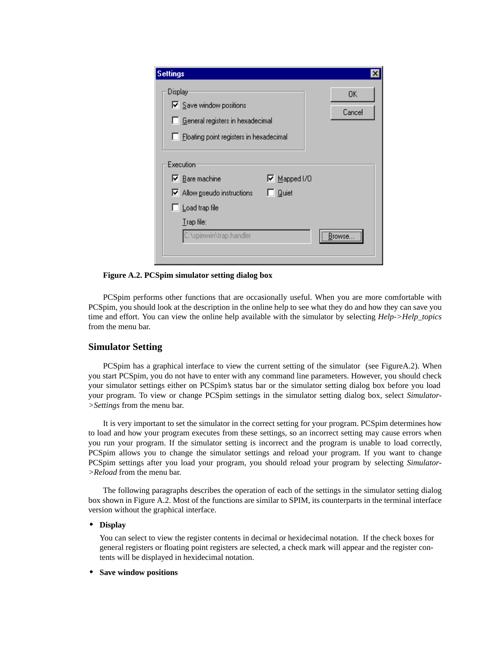| <b>Settings</b>                                                                                                          |              |
|--------------------------------------------------------------------------------------------------------------------------|--------------|
| Display<br>$\nabla$ Save window positions<br>General registers in hexadecimal<br>Floating point registers in hexadecimal | 0K<br>Cancel |
| Execution                                                                                                                |              |
| $\nabla$ Bare machine<br>$\nabla$ Mapped I/O                                                                             |              |
| $\nabla$ Allow pseudo instructions<br><b>Quiet</b>                                                                       |              |
| Load trap file                                                                                                           |              |
| $I$ rap file:                                                                                                            |              |
| C:\spimwin\trap.handler                                                                                                  | Browse       |
|                                                                                                                          |              |

**Figure A.2. PCSpim simulator setting dialog box**

PCSpim performs other functions that are occasionally useful. When you are more comfortable with PCSpim, you should look at the description in the online help to see what they do and how they can save you time and effort. You can view the online help available with the simulator by selecting *Help->Help\_topics* from the menu bar.

## **Simulator Setting**

PCSpim has a graphical interface to view the current setting of the simulator (see FigureA.2). When you start PCSpim, you do not have to enter with any command line parameters. However, you should check your simulator settings either on PCSpim's status bar or the simulator setting dialog box before you load your program. To view or change PCSpim settings in the simulator setting dialog box, select *Simulator- >Settings* from the menu bar.

It is very important to set the simulator in the correct setting for your program. PCSpim determines how to load and how your program executes from these settings, so an incorrect setting may cause errors when you run your program. If the simulator setting is incorrect and the program is unable to load correctly, PCSpim allows you to change the simulator settings and reload your program. If you want to change PCSpim settings after you load your program, you should reload your program by selecting *Simulator- >Reload* from the menu bar.

The following paragraphs describes the operation of each of the settings in the simulator setting dialog box shown in Figure A.2. Most of the functions are similar to SPIM, its counterparts in the terminal interface version without the graphical interface.

#### **• Display**

You can select to view the register contents in decimal or hexidecimal notation. If the check boxes for general registers or floating point registers are selected, a check mark will appear and the register contents will be displayed in hexidecimal notation.

#### **• Save window positions**